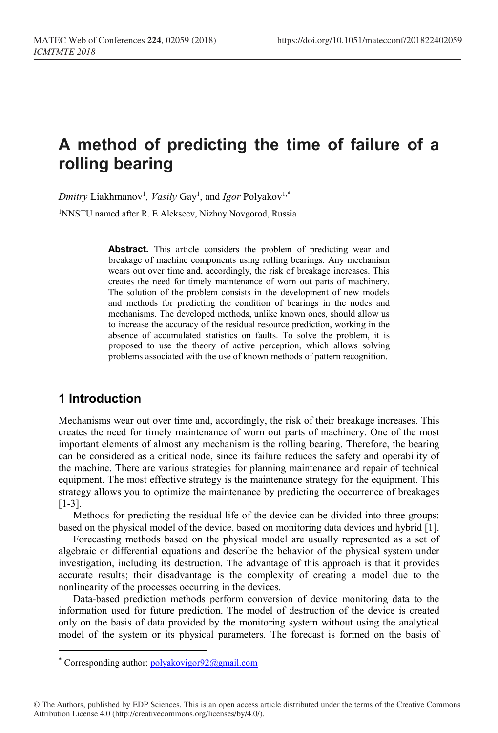# **A method of predicting the time of failure of a rolling bearing**

 $D$ *mitry* Liakhmanov<sup>1</sup>, *Vasily* Gay<sup>1</sup>, and *Igor* Polyakov<sup>1,[\\*](#page-0-0)</sup>

1NNSTU named after R. E Alekseev, Nizhny Novgorod, Russia

**Abstract.** This article considers the problem of predicting wear and breakage of machine components using rolling bearings. Any mechanism wears out over time and, accordingly, the risk of breakage increases. This creates the need for timely maintenance of worn out parts of machinery. The solution of the problem consists in the development of new models and methods for predicting the condition of bearings in the nodes and mechanisms. The developed methods, unlike known ones, should allow us to increase the accuracy of the residual resource prediction, working in the absence of accumulated statistics on faults. To solve the problem, it is proposed to use the theory of active perception, which allows solving problems associated with the use of known methods of pattern recognition.

# **1 Introduction**

l

Mechanisms wear out over time and, accordingly, the risk of their breakage increases. This creates the need for timely maintenance of worn out parts of machinery. One of the most important elements of almost any mechanism is the rolling bearing. Therefore, the bearing can be considered as a critical node, since its failure reduces the safety and operability of the machine. There are various strategies for planning maintenance and repair of technical equipment. The most effective strategy is the maintenance strategy for the equipment. This strategy allows you to optimize the maintenance by predicting the occurrence of breakages [1-3].

Methods for predicting the residual life of the device can be divided into three groups: based on the physical model of the device, based on monitoring data devices and hybrid [1].

Forecasting methods based on the physical model are usually represented as a set of algebraic or differential equations and describe the behavior of the physical system under investigation, including its destruction. The advantage of this approach is that it provides accurate results; their disadvantage is the complexity of creating a model due to the nonlinearity of the processes occurring in the devices.

Data-based prediction methods perform conversion of device monitoring data to the information used for future prediction. The model of destruction of the device is created only on the basis of data provided by the monitoring system without using the analytical model of the system or its physical parameters. The forecast is formed on the basis of

<span id="page-0-0"></span><sup>\*</sup> Corresponding author[: polyakovigor92@gmail.com](mailto:polyakovigor92@gmail.com)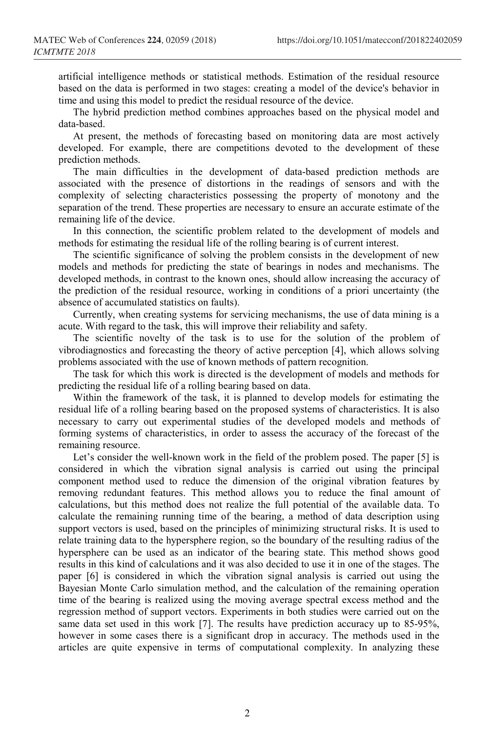artificial intelligence methods or statistical methods. Estimation of the residual resource based on the data is performed in two stages: creating a model of the device's behavior in time and using this model to predict the residual resource of the device.

The hybrid prediction method combines approaches based on the physical model and data-based.

At present, the methods of forecasting based on monitoring data are most actively developed. For example, there are competitions devoted to the development of these prediction methods.

The main difficulties in the development of data-based prediction methods are associated with the presence of distortions in the readings of sensors and with the complexity of selecting characteristics possessing the property of monotony and the separation of the trend. These properties are necessary to ensure an accurate estimate of the remaining life of the device.

In this connection, the scientific problem related to the development of models and methods for estimating the residual life of the rolling bearing is of current interest.

The scientific significance of solving the problem consists in the development of new models and methods for predicting the state of bearings in nodes and mechanisms. The developed methods, in contrast to the known ones, should allow increasing the accuracy of the prediction of the residual resource, working in conditions of a priori uncertainty (the absence of accumulated statistics on faults).

Currently, when creating systems for servicing mechanisms, the use of data mining is a acute. With regard to the task, this will improve their reliability and safety.

The scientific novelty of the task is to use for the solution of the problem of vibrodiagnostics and forecasting the theory of active perception [4], which allows solving problems associated with the use of known methods of pattern recognition.

The task for which this work is directed is the development of models and methods for predicting the residual life of a rolling bearing based on data.

Within the framework of the task, it is planned to develop models for estimating the residual life of a rolling bearing based on the proposed systems of characteristics. It is also necessary to carry out experimental studies of the developed models and methods of forming systems of characteristics, in order to assess the accuracy of the forecast of the remaining resource.

Let's consider the well-known work in the field of the problem posed. The paper [5] is considered in which the vibration signal analysis is carried out using the principal component method used to reduce the dimension of the original vibration features by removing redundant features. This method allows you to reduce the final amount of calculations, but this method does not realize the full potential of the available data. To calculate the remaining running time of the bearing, a method of data description using support vectors is used, based on the principles of minimizing structural risks. It is used to relate training data to the hypersphere region, so the boundary of the resulting radius of the hypersphere can be used as an indicator of the bearing state. This method shows good results in this kind of calculations and it was also decided to use it in one of the stages. The paper [6] is considered in which the vibration signal analysis is carried out using the Bayesian Monte Carlo simulation method, and the calculation of the remaining operation time of the bearing is realized using the moving average spectral excess method and the regression method of support vectors. Experiments in both studies were carried out on the same data set used in this work [7]. The results have prediction accuracy up to 85-95%, however in some cases there is a significant drop in accuracy. The methods used in the articles are quite expensive in terms of computational complexity. In analyzing these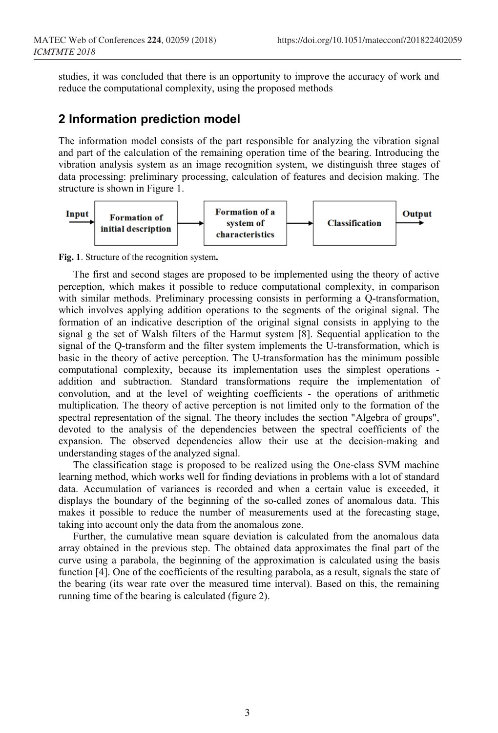studies, it was concluded that there is an opportunity to improve the accuracy of work and reduce the computational complexity, using the proposed methods

#### **2 Information prediction model**

The information model consists of the part responsible for analyzing the vibration signal and part of the calculation of the remaining operation time of the bearing. Introducing the vibration analysis system as an image recognition system, we distinguish three stages of data processing: preliminary processing, calculation of features and decision making. The structure is shown in Figure 1.



**Fig. 1**. Structure of the recognition system**.**

The first and second stages are proposed to be implemented using the theory of active perception, which makes it possible to reduce computational complexity, in comparison with similar methods. Preliminary processing consists in performing a Q-transformation, which involves applying addition operations to the segments of the original signal. The formation of an indicative description of the original signal consists in applying to the signal g the set of Walsh filters of the Harmut system [8]. Sequential application to the signal of the Q-transform and the filter system implements the U-transformation, which is basic in the theory of active perception. The U-transformation has the minimum possible computational complexity, because its implementation uses the simplest operations addition and subtraction. Standard transformations require the implementation of convolution, and at the level of weighting coefficients - the operations of arithmetic multiplication. The theory of active perception is not limited only to the formation of the spectral representation of the signal. The theory includes the section "Algebra of groups", devoted to the analysis of the dependencies between the spectral coefficients of the expansion. The observed dependencies allow their use at the decision-making and understanding stages of the analyzed signal.

The classification stage is proposed to be realized using the One-class SVM machine learning method, which works well for finding deviations in problems with a lot of standard data. Accumulation of variances is recorded and when a certain value is exceeded, it displays the boundary of the beginning of the so-called zones of anomalous data. This makes it possible to reduce the number of measurements used at the forecasting stage, taking into account only the data from the anomalous zone.

Further, the cumulative mean square deviation is calculated from the anomalous data array obtained in the previous step. The obtained data approximates the final part of the curve using a parabola, the beginning of the approximation is calculated using the basis function [4]. One of the coefficients of the resulting parabola, as a result, signals the state of the bearing (its wear rate over the measured time interval). Based on this, the remaining running time of the bearing is calculated (figure 2).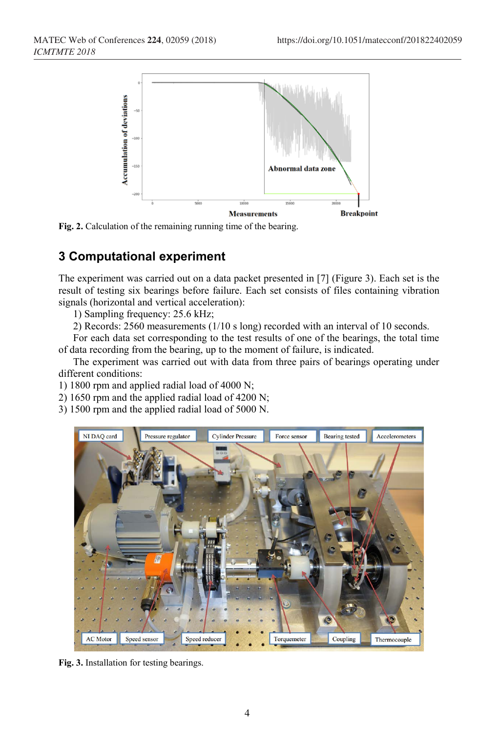

**Fig. 2.** Calculation of the remaining running time of the bearing.

# **3 Computational experiment**

The experiment was carried out on a data packet presented in [7] (Figure 3). Each set is the result of testing six bearings before failure. Each set consists of files containing vibration signals (horizontal and vertical acceleration):

- 1) Sampling frequency: 25.6 kHz;
- 2) Records: 2560 measurements (1/10 s long) recorded with an interval of 10 seconds.

For each data set corresponding to the test results of one of the bearings, the total time of data recording from the bearing, up to the moment of failure, is indicated.

The experiment was carried out with data from three pairs of bearings operating under different conditions:

- 1) 1800 rpm and applied radial load of 4000 N;
- 2) 1650 rpm and the applied radial load of 4200 N;
- 3) 1500 rpm and the applied radial load of 5000 N.



**Fig. 3.** Installation for testing bearings.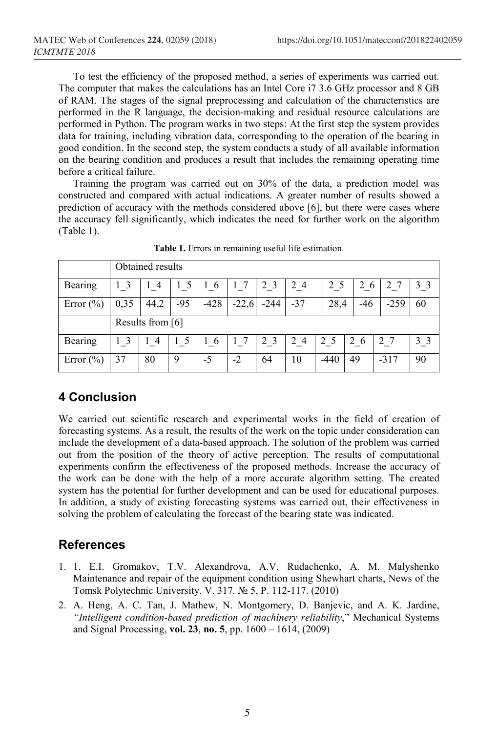To test the efficiency of the proposed method, a series of experiments was carried out. The computer that makes the calculations has an Intel Core i7 3.6 GHz processor and 8 GB of RAM. The stages of the signal preprocessing and calculation of the characteristics are performed in the R language, the decision-making and residual resource calculations are performed in Python. The program works in two steps: At the first step the system provides data for training, including vibration data, corresponding to the operation of the bearing in good condition. In the second step, the system conducts a study of all available information on the bearing condition and produces a result that includes the remaining operating time before a critical failure.

Training the program was carried out on 30% of the data, a prediction model was constructed and compared with actual indications. A greater number of results showed a prediction of accuracy with the methods considered above [6], but there were cases where the accuracy fell significantly, which indicates the need for further work on the algorithm (Table 1).

|               | Obtained results |      |       |                |         |        |                     |        |                    |        |                |
|---------------|------------------|------|-------|----------------|---------|--------|---------------------|--------|--------------------|--------|----------------|
| Bearing       |                  |      |       | -6             |         | 2<br>3 | 2 4                 |        | 2<br>$\mathfrak b$ | 27     | 3 <sub>2</sub> |
| Error $(\% )$ | 0,35             | 44,2 | $-95$ | $-428$         | $-22,6$ | $-244$ | $-37$               | 28,4   | -46                | $-259$ | 60             |
|               | Results from [6] |      |       |                |         |        |                     |        |                    |        |                |
| Bearing       |                  | 4    |       | $\overline{6}$ |         | 3<br>2 | $\overline{2}$<br>4 | 2 5    | 2 6                | 27     | 3 <sup>3</sup> |
| Error $(\% )$ | 37               | 80   | 9     | $-5$           | $-2$    | 64     | 10                  | $-440$ | 49                 | $-317$ | 90             |

**Table 1.** Errors in remaining useful life estimation.

## **4 Conclusion**

We carried out scientific research and experimental works in the field of creation of forecasting systems. As a result, the results of the work on the topic under consideration can include the development of a data-based approach. The solution of the problem was carried out from the position of the theory of active perception. The results of computational experiments confirm the effectiveness of the proposed methods. Increase the accuracy of the work can be done with the help of a more accurate algorithm setting. The created system has the potential for further development and can be used for educational purposes. In addition, a study of existing forecasting systems was carried out, their effectiveness in solving the problem of calculating the forecast of the bearing state was indicated.

## **References**

- 1. 1. E.I. Gromakov, T.V. Alexandrova, A.V. Rudachenko, A. M. Malyshenko Maintenance and repair of the equipment condition using Shewhart charts, News of the Tomsk Polytechnic University. V. 317. № 5, P. 112-117. (2010)
- 2. A. Heng, A. C. Tan, J. Mathew, N. Montgomery, D. Banjevic, and A. K. Jardine, *"Intelligent condition-based prediction of machinery reliability*," Mechanical Systems and Signal Processing, **vol. 23**, **no. 5**, pp. 1600 – 1614, (2009)